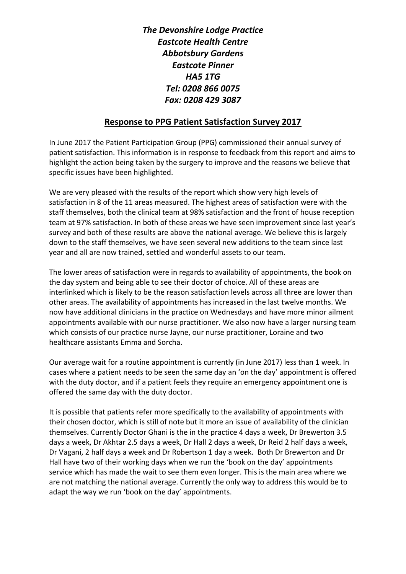*The Devonshire Lodge Practice Eastcote Health Centre Abbotsbury Gardens Eastcote Pinner HA5 1TG Tel: 0208 866 0075 Fax: 0208 429 3087*

## **Response to PPG Patient Satisfaction Survey 2017**

In June 2017 the Patient Participation Group (PPG) commissioned their annual survey of patient satisfaction. This information is in response to feedback from this report and aims to highlight the action being taken by the surgery to improve and the reasons we believe that specific issues have been highlighted.

We are very pleased with the results of the report which show very high levels of satisfaction in 8 of the 11 areas measured. The highest areas of satisfaction were with the staff themselves, both the clinical team at 98% satisfaction and the front of house reception team at 97% satisfaction. In both of these areas we have seen improvement since last year's survey and both of these results are above the national average. We believe this is largely down to the staff themselves, we have seen several new additions to the team since last year and all are now trained, settled and wonderful assets to our team.

The lower areas of satisfaction were in regards to availability of appointments, the book on the day system and being able to see their doctor of choice. All of these areas are interlinked which is likely to be the reason satisfaction levels across all three are lower than other areas. The availability of appointments has increased in the last twelve months. We now have additional clinicians in the practice on Wednesdays and have more minor ailment appointments available with our nurse practitioner. We also now have a larger nursing team which consists of our practice nurse Jayne, our nurse practitioner, Loraine and two healthcare assistants Emma and Sorcha.

Our average wait for a routine appointment is currently (in June 2017) less than 1 week. In cases where a patient needs to be seen the same day an 'on the day' appointment is offered with the duty doctor, and if a patient feels they require an emergency appointment one is offered the same day with the duty doctor.

It is possible that patients refer more specifically to the availability of appointments with their chosen doctor, which is still of note but it more an issue of availability of the clinician themselves. Currently Doctor Ghani is the in the practice 4 days a week, Dr Brewerton 3.5 days a week, Dr Akhtar 2.5 days a week, Dr Hall 2 days a week, Dr Reid 2 half days a week, Dr Vagani, 2 half days a week and Dr Robertson 1 day a week. Both Dr Brewerton and Dr Hall have two of their working days when we run the 'book on the day' appointments service which has made the wait to see them even longer. This is the main area where we are not matching the national average. Currently the only way to address this would be to adapt the way we run 'book on the day' appointments.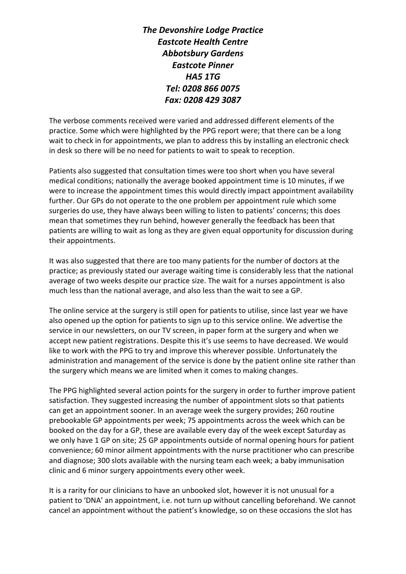*The Devonshire Lodge Practice Eastcote Health Centre Abbotsbury Gardens Eastcote Pinner HA5 1TG Tel: 0208 866 0075 Fax: 0208 429 3087*

The verbose comments received were varied and addressed different elements of the practice. Some which were highlighted by the PPG report were; that there can be a long wait to check in for appointments, we plan to address this by installing an electronic check in desk so there will be no need for patients to wait to speak to reception.

Patients also suggested that consultation times were too short when you have several medical conditions; nationally the average booked appointment time is 10 minutes, if we were to increase the appointment times this would directly impact appointment availability further. Our GPs do not operate to the one problem per appointment rule which some surgeries do use, they have always been willing to listen to patients' concerns; this does mean that sometimes they run behind, however generally the feedback has been that patients are willing to wait as long as they are given equal opportunity for discussion during their appointments.

It was also suggested that there are too many patients for the number of doctors at the practice; as previously stated our average waiting time is considerably less that the national average of two weeks despite our practice size. The wait for a nurses appointment is also much less than the national average, and also less than the wait to see a GP.

The online service at the surgery is still open for patients to utilise, since last year we have also opened up the option for patients to sign up to this service online. We advertise the service in our newsletters, on our TV screen, in paper form at the surgery and when we accept new patient registrations. Despite this it's use seems to have decreased. We would like to work with the PPG to try and improve this wherever possible. Unfortunately the administration and management of the service is done by the patient online site rather than the surgery which means we are limited when it comes to making changes.

The PPG highlighted several action points for the surgery in order to further improve patient satisfaction. They suggested increasing the number of appointment slots so that patients can get an appointment sooner. In an average week the surgery provides; 260 routine prebookable GP appointments per week; 75 appointments across the week which can be booked on the day for a GP, these are available every day of the week except Saturday as we only have 1 GP on site; 25 GP appointments outside of normal opening hours for patient convenience; 60 minor ailment appointments with the nurse practitioner who can prescribe and diagnose; 300 slots available with the nursing team each week; a baby immunisation clinic and 6 minor surgery appointments every other week.

It is a rarity for our clinicians to have an unbooked slot, however it is not unusual for a patient to 'DNA' an appointment, i.e. not turn up without cancelling beforehand. We cannot cancel an appointment without the patient's knowledge, so on these occasions the slot has